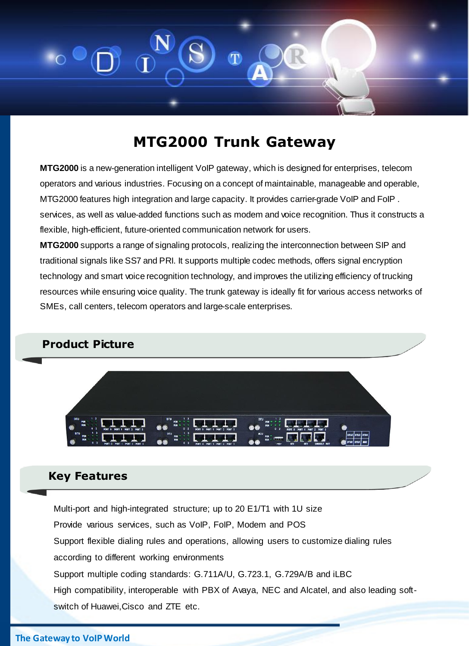

# **MTG2000 Trunk Gateway**

**MTG2000** is a new-generation intelligent VoIP gateway, which is designed for enterprises, telecom operators and various industries. Focusing on a concept of maintainable, manageable and operable, MTG2000 features high integration and large capacity. It provides carrier-grade VoIP and FoIP . services, as well as value-added functions such as modem and voice recognition. Thus it constructs a flexible, high-efficient, future-oriented communication network for users.

**MTG2000** supports a range of signaling protocols, realizing the interconnection between SIP and traditional signals like SS7 and PRI. It supports multiple codec methods, offers signal encryption technology and smart voice recognition technology, and improves the utilizing efficiency of trucking resources while ensuring voice quality. The trunk gateway is ideally fit for various access networks of SMEs, call centers, telecom operators and large-scale enterprises.

### **Product Picture**



### **Key Features**

Multi-port and high-integrated structure; up to 20 E1/T1 with 1U size Provide various services, such as VoIP, FoIP, Modem and POS Support flexible dialing rules and operations, allowing users to customize dialing rules according to different working environments Support multiple coding standards: G.711A/U, G.723.1, G.729A/B and iLBC High compatibility, interoperable with PBX of Avaya, NEC and Alcatel, and also leading softswitch of Huawei,Cisco and ZTE etc.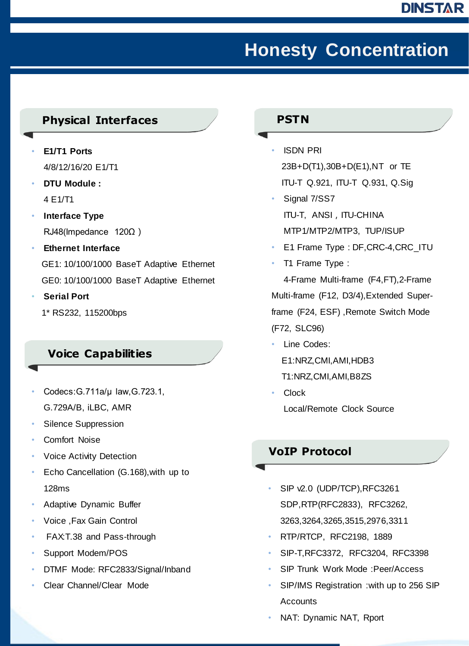# **Honesty Concentration**

### **Physical Interfaces**

- **E1/T1 Ports** 4/8/12/16/20 E1/T1
- **DTU Module :** 4 E1/T1
- **Interface Type**  RJ48(Impedance 120Ω)
- **Ethernet Interface**  GE1: 10/100/1000 BaseT Adaptive Ethernet GE0: 10/100/1000 BaseT Adaptive Ethernet
- **Serial Port** 
	- 1\* RS232, 115200bps

### **Voice Capabilities**

- Codecs:G.711a/μ law,G.723.1, G.729A/B, iLBC, AMR
- Silence Suppression
- Comfort Noise
- **Voice Activity Detection**
- Echo Cancellation (G.168),with up to 128ms
- Adaptive Dynamic Buffer
- Voice ,Fax Gain Control
- FAX:T.38 and Pass-through
- Support Modem/POS
- DTMF Mode: RFC2833/Signal/Inband
- Clear Channel/Clear Mode

#### **PSTN**

- ISDN PRI 23B+D(T1),30B+D(E1),NT or TE ITU-T Q.921, ITU-T Q.931, Q.Sig
- Signal 7/SS7 ITU-T, ANSI, ITU-CHINA MTP1/MTP2/MTP3, TUP/ISUP
- E1 Frame Type : DF,CRC-4,CRC\_ITU
- T1 Frame Type :

4-Frame Multi-frame (F4,FT),2-Frame Multi-frame (F12, D3/4),Extended Superframe (F24, ESF) ,Remote Switch Mode (F72, SLC96)

- Line Codes:
	- E1:NRZ,CMI,AMI,HDB3
	- T1:NRZ,CMI,AMI,B8ZS
- Clock Local/Remote Clock Source

### **VoIP Protocol**

- SIP v2.0 (UDP/TCP),RFC3261 SDP,RTP(RFC2833), RFC3262, 3263,3264,3265,3515,2976,3311
- RTP/RTCP, RFC2198, 1889
- SIP-T,RFC3372, RFC3204, RFC3398
- SIP Trunk Work Mode :Peer/Access
- SIP/IMS Registration :with up to 256 SIP Accounts
- NAT: Dynamic NAT, Rport